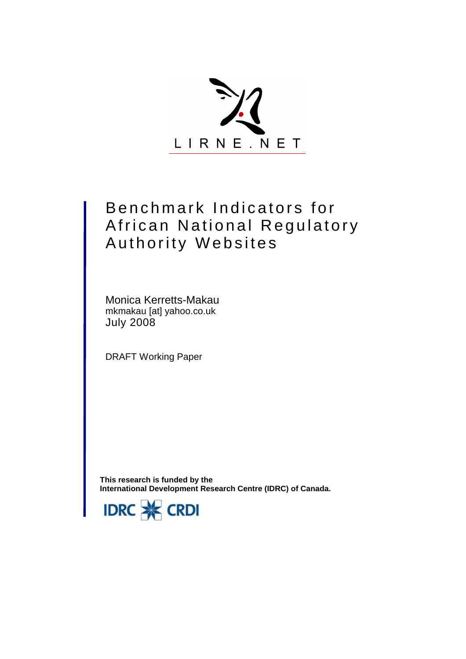

# Benchmark Indicators for African National Regulatory Authority Websites

Monica Kerretts-Makau mkmakau [at] yahoo.co.uk July 2008

DRAFT Working Paper

**This research is funded by the International Development Research Centre (IDRC) of Canada.** 

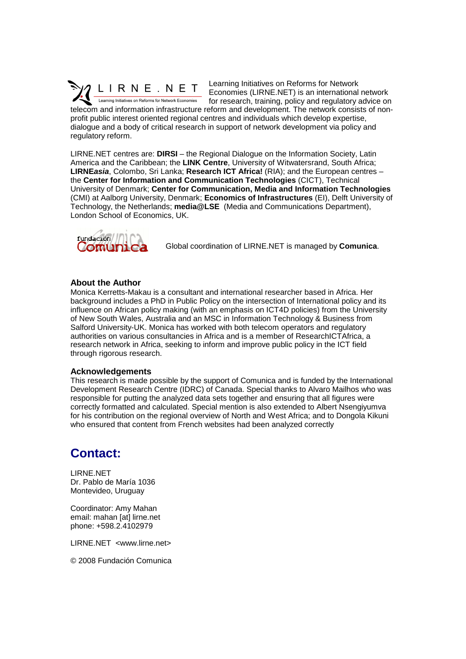

Learning Initiatives on Reforms for Network Economies (LIRNE.NET) is an international network for research, training, policy and regulatory advice on telecom and information infrastructure reform and development. The network consists of nonprofit public interest oriented regional centres and individuals which develop expertise,

dialogue and a body of critical research in support of network development via policy and regulatory reform.

LIRNE.NET centres are: **DIRSI** – the Regional Dialogue on the Information Society, Latin America and the Caribbean; the **LINK Centre**, University of Witwatersrand, South Africa; **LIRNEasia**, Colombo, Sri Lanka; **Research ICT Africa!** (RIA); and the European centres – the **Center for Information and Communication Technologies** (CICT), Technical University of Denmark; **Center for Communication, Media and Information Technologies** (CMI) at Aalborg University, Denmark; **Economics of Infrastructures** (EI), Delft University of Technology, the Netherlands; **media@LSE** (Media and Communications Department), London School of Economics, UK.



Global coordination of LIRNE.NET is managed by **Comunica**.

#### **About the Author**

Monica Kerretts-Makau is a consultant and international researcher based in Africa. Her background includes a PhD in Public Policy on the intersection of International policy and its influence on African policy making (with an emphasis on ICT4D policies) from the University of New South Wales, Australia and an MSC in Information Technology & Business from Salford University-UK. Monica has worked with both telecom operators and regulatory authorities on various consultancies in Africa and is a member of ResearchICTAfrica, a research network in Africa, seeking to inform and improve public policy in the ICT field through rigorous research.

#### **Acknowledgements**

This research is made possible by the support of Comunica and is funded by the International Development Research Centre (IDRC) of Canada. Special thanks to Alvaro Mailhos who was responsible for putting the analyzed data sets together and ensuring that all figures were correctly formatted and calculated. Special mention is also extended to Albert Nsengiyumva for his contribution on the regional overview of North and West Africa; and to Dongola Kikuni who ensured that content from French websites had been analyzed correctly

# **Contact:**

LIRNE.NET Dr. Pablo de María 1036 Montevideo, Uruguay

Coordinator: Amy Mahan email: mahan [at] lirne.net phone: +598.2.4102979

LIRNE.NET <www.lirne.net>

© 2008 Fundación Comunica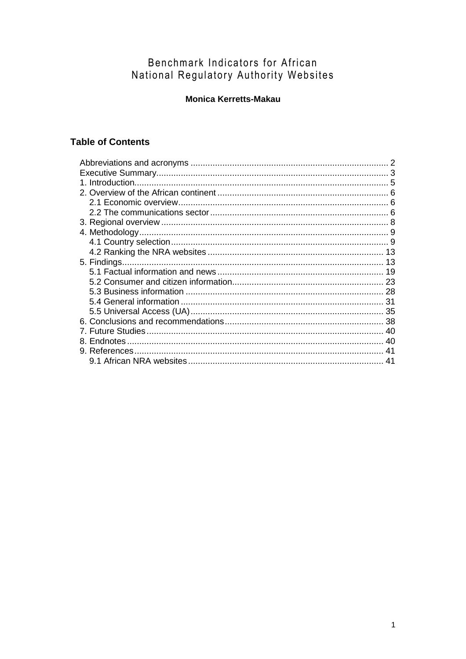# Benchmark Indicators for African National Regulatory Authority Websites

### **Monica Kerretts-Makau**

### **Table of Contents**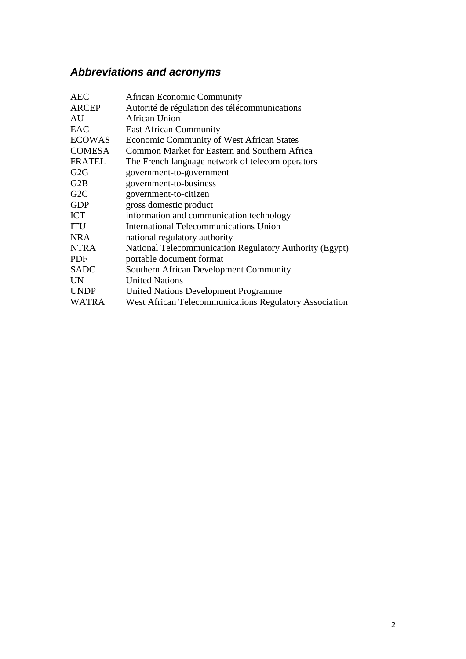# **Abbreviations and acronyms**

| <b>AEC</b>       | <b>African Economic Community</b>                              |
|------------------|----------------------------------------------------------------|
| <b>ARCEP</b>     | Autorité de régulation des télécommunications                  |
| AU               | <b>African Union</b>                                           |
| EAC              | <b>East African Community</b>                                  |
| <b>ECOWAS</b>    | <b>Economic Community of West African States</b>               |
| <b>COMESA</b>    | Common Market for Eastern and Southern Africa                  |
| <b>FRATEL</b>    | The French language network of telecom operators               |
| G2G              | government-to-government                                       |
| G2B              | government-to-business                                         |
| G <sub>2</sub> C | government-to-citizen                                          |
| <b>GDP</b>       | gross domestic product                                         |
| <b>ICT</b>       | information and communication technology                       |
| <b>ITU</b>       | <b>International Telecommunications Union</b>                  |
| <b>NRA</b>       | national regulatory authority                                  |
| <b>NTRA</b>      | <b>National Telecommunication Regulatory Authority (Egypt)</b> |
| <b>PDF</b>       | portable document format                                       |
| <b>SADC</b>      | <b>Southern African Development Community</b>                  |
| <b>UN</b>        | <b>United Nations</b>                                          |
| <b>UNDP</b>      | <b>United Nations Development Programme</b>                    |
| <b>WATRA</b>     | West African Telecommunications Regulatory Association         |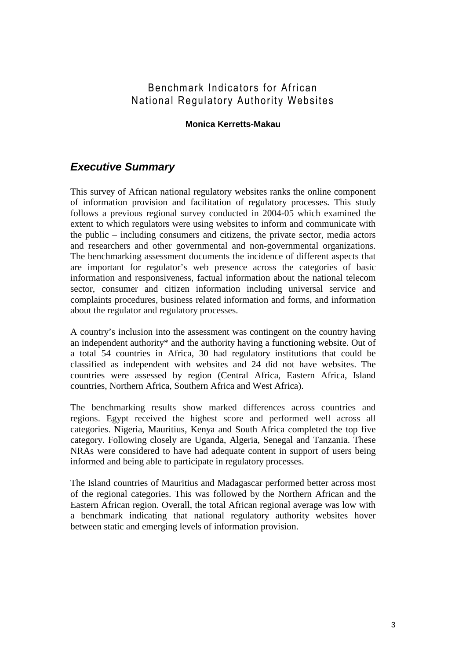## Benchmark Indicators for African National Regulatory Authority Websites

### **Monica Kerretts-Makau**

# **Executive Summary**

This survey of African national regulatory websites ranks the online component of information provision and facilitation of regulatory processes. This study follows a previous regional survey conducted in 2004-05 which examined the extent to which regulators were using websites to inform and communicate with the public – including consumers and citizens, the private sector, media actors and researchers and other governmental and non-governmental organizations. The benchmarking assessment documents the incidence of different aspects that are important for regulator's web presence across the categories of basic information and responsiveness, factual information about the national telecom sector, consumer and citizen information including universal service and complaints procedures, business related information and forms, and information about the regulator and regulatory processes.

A country's inclusion into the assessment was contingent on the country having an independent authority\* and the authority having a functioning website. Out of a total 54 countries in Africa, 30 had regulatory institutions that could be classified as independent with websites and 24 did not have websites. The countries were assessed by region (Central Africa, Eastern Africa, Island countries, Northern Africa, Southern Africa and West Africa).

The benchmarking results show marked differences across countries and regions. Egypt received the highest score and performed well across all categories. Nigeria, Mauritius, Kenya and South Africa completed the top five category. Following closely are Uganda, Algeria, Senegal and Tanzania. These NRAs were considered to have had adequate content in support of users being informed and being able to participate in regulatory processes.

The Island countries of Mauritius and Madagascar performed better across most of the regional categories. This was followed by the Northern African and the Eastern African region. Overall, the total African regional average was low with a benchmark indicating that national regulatory authority websites hover between static and emerging levels of information provision.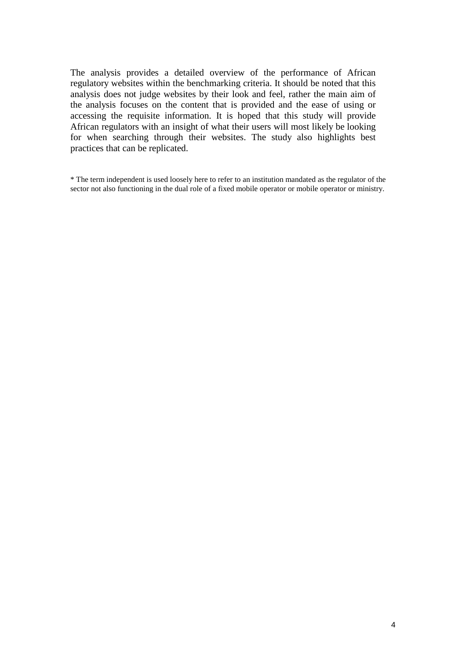The analysis provides a detailed overview of the performance of African regulatory websites within the benchmarking criteria. It should be noted that this analysis does not judge websites by their look and feel, rather the main aim of the analysis focuses on the content that is provided and the ease of using or accessing the requisite information. It is hoped that this study will provide African regulators with an insight of what their users will most likely be looking for when searching through their websites. The study also highlights best practices that can be replicated.

\* The term independent is used loosely here to refer to an institution mandated as the regulator of the sector not also functioning in the dual role of a fixed mobile operator or mobile operator or ministry.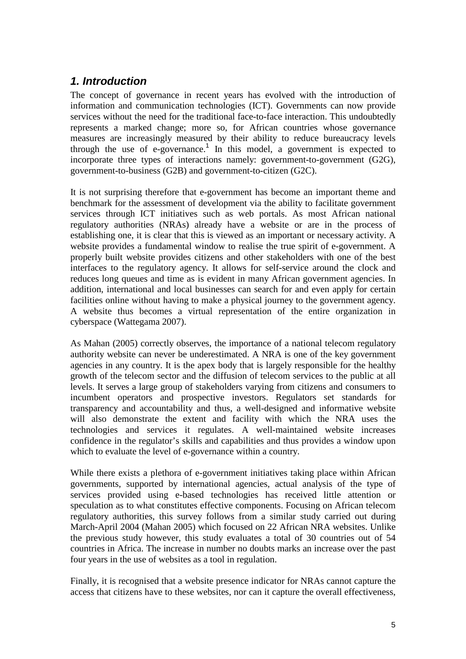# **1. Introduction**

The concept of governance in recent years has evolved with the introduction of information and communication technologies (ICT). Governments can now provide services without the need for the traditional face-to-face interaction. This undoubtedly represents a marked change; more so, for African countries whose governance measures are increasingly measured by their ability to reduce bureaucracy levels through the use of e-governance.<sup>1</sup> In this model, a government is expected to incorporate three types of interactions namely: government-to-government (G2G), government-to-business (G2B) and government-to-citizen (G2C).

It is not surprising therefore that e-government has become an important theme and benchmark for the assessment of development via the ability to facilitate government services through ICT initiatives such as web portals. As most African national regulatory authorities (NRAs) already have a website or are in the process of establishing one, it is clear that this is viewed as an important or necessary activity. A website provides a fundamental window to realise the true spirit of e-government. A properly built website provides citizens and other stakeholders with one of the best interfaces to the regulatory agency. It allows for self-service around the clock and reduces long queues and time as is evident in many African government agencies. In addition, international and local businesses can search for and even apply for certain facilities online without having to make a physical journey to the government agency. A website thus becomes a virtual representation of the entire organization in cyberspace (Wattegama 2007).

As Mahan (2005) correctly observes, the importance of a national telecom regulatory authority website can never be underestimated. A NRA is one of the key government agencies in any country. It is the apex body that is largely responsible for the healthy growth of the telecom sector and the diffusion of telecom services to the public at all levels. It serves a large group of stakeholders varying from citizens and consumers to incumbent operators and prospective investors. Regulators set standards for transparency and accountability and thus, a well-designed and informative website will also demonstrate the extent and facility with which the NRA uses the technologies and services it regulates. A well-maintained website increases confidence in the regulator's skills and capabilities and thus provides a window upon which to evaluate the level of e-governance within a country.

While there exists a plethora of e-government initiatives taking place within African governments, supported by international agencies, actual analysis of the type of services provided using e-based technologies has received little attention or speculation as to what constitutes effective components. Focusing on African telecom regulatory authorities, this survey follows from a similar study carried out during March-April 2004 (Mahan 2005) which focused on 22 African NRA websites. Unlike the previous study however, this study evaluates a total of 30 countries out of 54 countries in Africa. The increase in number no doubts marks an increase over the past four years in the use of websites as a tool in regulation.

Finally, it is recognised that a website presence indicator for NRAs cannot capture the access that citizens have to these websites, nor can it capture the overall effectiveness,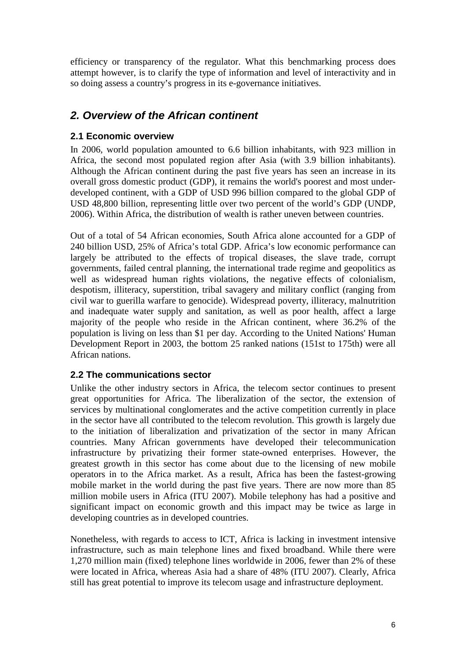efficiency or transparency of the regulator. What this benchmarking process does attempt however, is to clarify the type of information and level of interactivity and in so doing assess a country's progress in its e-governance initiatives.

# **2. Overview of the African continent**

### **2.1 Economic overview**

In 2006, world population amounted to 6.6 billion inhabitants, with 923 million in Africa, the second most populated region after Asia (with 3.9 billion inhabitants). Although the African continent during the past five years has seen an increase in its overall gross domestic product (GDP), it remains the world's poorest and most underdeveloped continent, with a GDP of USD 996 billion compared to the global GDP of USD 48,800 billion, representing little over two percent of the world's GDP (UNDP, 2006). Within Africa, the distribution of wealth is rather uneven between countries.

Out of a total of 54 African economies, South Africa alone accounted for a GDP of 240 billion USD, 25% of Africa's total GDP. Africa's low economic performance can largely be attributed to the effects of tropical diseases, the slave trade, corrupt governments, failed central planning, the international trade regime and geopolitics as well as widespread human rights violations, the negative effects of colonialism, despotism, illiteracy, superstition, tribal savagery and military conflict (ranging from civil war to guerilla warfare to genocide). Widespread poverty, illiteracy, malnutrition and inadequate water supply and sanitation, as well as poor health, affect a large majority of the people who reside in the African continent, where 36.2% of the population is living on less than \$1 per day. According to the United Nations' Human Development Report in 2003, the bottom 25 ranked nations (151st to 175th) were all African nations.

### **2.2 The communications sector**

Unlike the other industry sectors in Africa, the telecom sector continues to present great opportunities for Africa. The liberalization of the sector, the extension of services by multinational conglomerates and the active competition currently in place in the sector have all contributed to the telecom revolution. This growth is largely due to the initiation of liberalization and privatization of the sector in many African countries. Many African governments have developed their telecommunication infrastructure by privatizing their former state-owned enterprises. However, the greatest growth in this sector has come about due to the licensing of new mobile operators in to the Africa market. As a result, Africa has been the fastest-growing mobile market in the world during the past five years. There are now more than 85 million mobile users in Africa (ITU 2007). Mobile telephony has had a positive and significant impact on economic growth and this impact may be twice as large in developing countries as in developed countries.

Nonetheless, with regards to access to ICT, Africa is lacking in investment intensive infrastructure, such as main telephone lines and fixed broadband. While there were 1,270 million main (fixed) telephone lines worldwide in 2006, fewer than 2% of these were located in Africa, whereas Asia had a share of 48% (ITU 2007). Clearly, Africa still has great potential to improve its telecom usage and infrastructure deployment.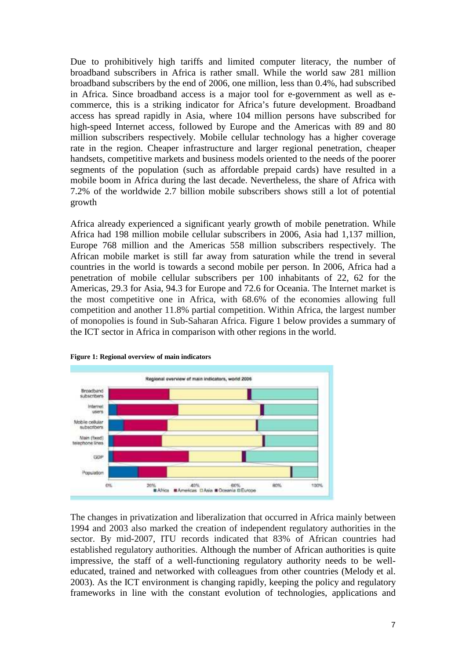Due to prohibitively high tariffs and limited computer literacy, the number of broadband subscribers in Africa is rather small. While the world saw 281 million broadband subscribers by the end of 2006, one million, less than 0.4%, had subscribed in Africa. Since broadband access is a major tool for e-government as well as ecommerce, this is a striking indicator for Africa's future development. Broadband access has spread rapidly in Asia, where 104 million persons have subscribed for high-speed Internet access, followed by Europe and the Americas with 89 and 80 million subscribers respectively. Mobile cellular technology has a higher coverage rate in the region. Cheaper infrastructure and larger regional penetration, cheaper handsets, competitive markets and business models oriented to the needs of the poorer segments of the population (such as affordable prepaid cards) have resulted in a mobile boom in Africa during the last decade. Nevertheless, the share of Africa with 7.2% of the worldwide 2.7 billion mobile subscribers shows still a lot of potential growth

Africa already experienced a significant yearly growth of mobile penetration. While Africa had 198 million mobile cellular subscribers in 2006, Asia had 1,137 million, Europe 768 million and the Americas 558 million subscribers respectively. The African mobile market is still far away from saturation while the trend in several countries in the world is towards a second mobile per person. In 2006, Africa had a penetration of mobile cellular subscribers per 100 inhabitants of 22, 62 for the Americas, 29.3 for Asia, 94.3 for Europe and 72.6 for Oceania. The Internet market is the most competitive one in Africa, with 68.6% of the economies allowing full competition and another 11.8% partial competition. Within Africa, the largest number of monopolies is found in Sub-Saharan Africa. Figure 1 below provides a summary of the ICT sector in Africa in comparison with other regions in the world.





The changes in privatization and liberalization that occurred in Africa mainly between 1994 and 2003 also marked the creation of independent regulatory authorities in the sector. By mid-2007, ITU records indicated that 83% of African countries had established regulatory authorities. Although the number of African authorities is quite impressive, the staff of a well-functioning regulatory authority needs to be welleducated, trained and networked with colleagues from other countries (Melody et al. 2003). As the ICT environment is changing rapidly, keeping the policy and regulatory frameworks in line with the constant evolution of technologies, applications and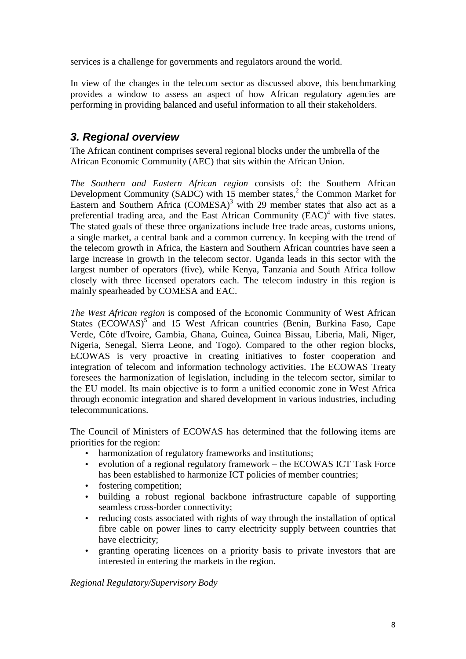services is a challenge for governments and regulators around the world.

In view of the changes in the telecom sector as discussed above, this benchmarking provides a window to assess an aspect of how African regulatory agencies are performing in providing balanced and useful information to all their stakeholders.

# **3. Regional overview**

The African continent comprises several regional blocks under the umbrella of the African Economic Community (AEC) that sits within the African Union.

*The Southern and Eastern African region* consists of: the Southern African Development Community (SADC) with  $15$  member states,<sup>2</sup> the Common Market for Eastern and Southern Africa  $(COMESA)^3$  with 29 member states that also act as a preferential trading area, and the East African Community  $(BAC)^4$  with five states. The stated goals of these three organizations include free trade areas, customs unions, a single market, a central bank and a common currency. In keeping with the trend of the telecom growth in Africa, the Eastern and Southern African countries have seen a large increase in growth in the telecom sector. Uganda leads in this sector with the largest number of operators (five), while Kenya, Tanzania and South Africa follow closely with three licensed operators each. The telecom industry in this region is mainly spearheaded by COMESA and EAC.

*The West African region* is composed of the Economic Community of West African States (ECOWAS)<sup>5</sup> and 15 West African countries (Benin, Burkina Faso, Cape Verde, Côte d'Ivoire, Gambia, Ghana, Guinea, Guinea Bissau, Liberia, Mali, Niger, Nigeria, Senegal, Sierra Leone, and Togo). Compared to the other region blocks, ECOWAS is very proactive in creating initiatives to foster cooperation and integration of telecom and information technology activities. The ECOWAS Treaty foresees the harmonization of legislation, including in the telecom sector, similar to the EU model. Its main objective is to form a unified economic zone in West Africa through economic integration and shared development in various industries, including telecommunications.

The Council of Ministers of ECOWAS has determined that the following items are priorities for the region:

- harmonization of regulatory frameworks and institutions;
- evolution of a regional regulatory framework the ECOWAS ICT Task Force has been established to harmonize ICT policies of member countries;
- fostering competition;
- building a robust regional backbone infrastructure capable of supporting seamless cross-border connectivity;
- reducing costs associated with rights of way through the installation of optical fibre cable on power lines to carry electricity supply between countries that have electricity;
- granting operating licences on a priority basis to private investors that are interested in entering the markets in the region.

*Regional Regulatory/Supervisory Body*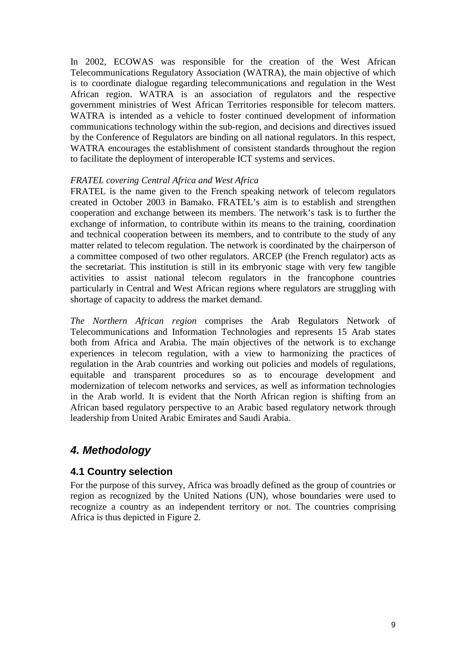In 2002, ECOWAS was responsible for the creation of the West African Telecommunications Regulatory Association (WATRA), the main objective of which is to coordinate dialogue regarding telecommunications and regulation in the West African region. WATRA is an association of regulators and the respective government ministries of West African Territories responsible for telecom matters. WATRA is intended as a vehicle to foster continued development of information communications technology within the sub-region, and decisions and directives issued by the Conference of Regulators are binding on all national regulators. In this respect, WATRA encourages the establishment of consistent standards throughout the region to facilitate the deployment of interoperable ICT systems and services.

### *FRATEL covering Central Africa and West Africa*

FRATEL is the name given to the French speaking network of telecom regulators created in October 2003 in Bamako. FRATEL's aim is to establish and strengthen cooperation and exchange between its members. The network's task is to further the exchange of information, to contribute within its means to the training, coordination and technical cooperation between its members, and to contribute to the study of any matter related to telecom regulation. The network is coordinated by the chairperson of a committee composed of two other regulators. ARCEP (the French regulator) acts as the secretariat. This institution is still in its embryonic stage with very few tangible activities to assist national telecom regulators in the francophone countries particularly in Central and West African regions where regulators are struggling with shortage of capacity to address the market demand.

*The Northern African region* comprises the Arab Regulators Network of Telecommunications and Information Technologies and represents 15 Arab states both from Africa and Arabia. The main objectives of the network is to exchange experiences in telecom regulation, with a view to harmonizing the practices of regulation in the Arab countries and working out policies and models of regulations, equitable and transparent procedures so as to encourage development and modernization of telecom networks and services, as well as information technologies in the Arab world. It is evident that the North African region is shifting from an African based regulatory perspective to an Arabic based regulatory network through leadership from United Arabic Emirates and Saudi Arabia.

# **4. Methodology**

### **4.1 Country selection**

For the purpose of this survey, Africa was broadly defined as the group of countries or region as recognized by the United Nations (UN), whose boundaries were used to recognize a country as an independent territory or not. The countries comprising Africa is thus depicted in Figure 2.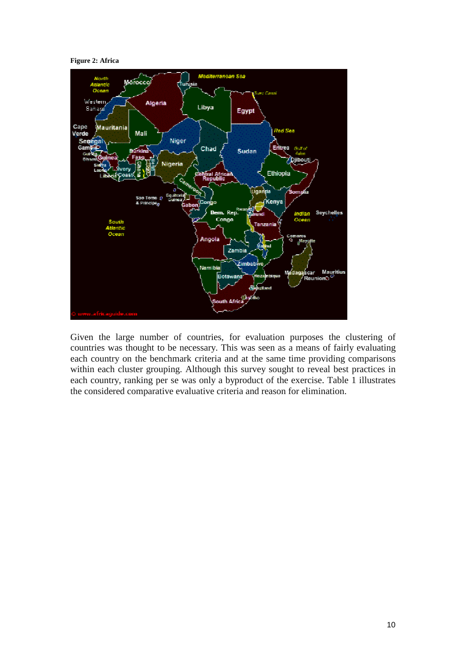**Figure 2: Africa** 



Given the large number of countries, for evaluation purposes the clustering of countries was thought to be necessary. This was seen as a means of fairly evaluating each country on the benchmark criteria and at the same time providing comparisons within each cluster grouping. Although this survey sought to reveal best practices in each country, ranking per se was only a byproduct of the exercise. Table 1 illustrates the considered comparative evaluative criteria and reason for elimination.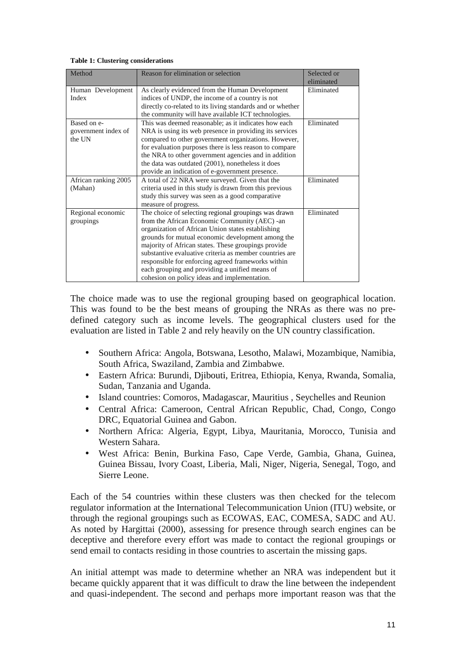**Table 1: Clustering considerations**

| Method                                       | Reason for elimination or selection                                                                                                                                                                                                                                                                                                                                                                                                                                                       | Selected or<br>eliminated |
|----------------------------------------------|-------------------------------------------------------------------------------------------------------------------------------------------------------------------------------------------------------------------------------------------------------------------------------------------------------------------------------------------------------------------------------------------------------------------------------------------------------------------------------------------|---------------------------|
| Human Development<br>Index                   | As clearly evidenced from the Human Development<br>indices of UNDP, the income of a country is not<br>directly co-related to its living standards and or whether<br>the community will have available ICT technologies.                                                                                                                                                                                                                                                                   | Eliminated                |
| Based on e-<br>government index of<br>the UN | This was deemed reasonable; as it indicates how each<br>NRA is using its web presence in providing its services<br>compared to other government organizations. However,<br>for evaluation purposes there is less reason to compare<br>the NRA to other government agencies and in addition<br>the data was outdated (2001), nonetheless it does<br>provide an indication of e-government presence.                                                                                        | Eliminated                |
| African ranking 2005<br>(Mahan)              | A total of 22 NRA were surveyed. Given that the<br>criteria used in this study is drawn from this previous<br>study this survey was seen as a good comparative<br>measure of progress.                                                                                                                                                                                                                                                                                                    | Eliminated                |
| Regional economic<br>groupings               | The choice of selecting regional groupings was drawn<br>from the African Economic Community (AEC) -an<br>organization of African Union states establishing<br>grounds for mutual economic development among the<br>majority of African states. These groupings provide<br>substantive evaluative criteria as member countries are<br>responsible for enforcing agreed frameworks within<br>each grouping and providing a unified means of<br>cohesion on policy ideas and implementation. | Eliminated                |

The choice made was to use the regional grouping based on geographical location. This was found to be the best means of grouping the NRAs as there was no predefined category such as income levels. The geographical clusters used for the evaluation are listed in Table 2 and rely heavily on the UN country classification.

- Southern Africa: Angola, Botswana, Lesotho, Malawi, Mozambique, Namibia, South Africa, Swaziland, Zambia and Zimbabwe.
- Eastern Africa: Burundi, Djibouti, Eritrea, Ethiopia, Kenya, Rwanda, Somalia, Sudan, Tanzania and Uganda.
- Island countries: Comoros, Madagascar, Mauritius , Seychelles and Reunion
- Central Africa: Cameroon, Central African Republic, Chad, Congo, Congo DRC, Equatorial Guinea and Gabon.
- Northern Africa: Algeria, Egypt, Libya, Mauritania, Morocco, Tunisia and Western Sahara.
- West Africa: Benin, Burkina Faso, Cape Verde, Gambia, Ghana, Guinea, Guinea Bissau, Ivory Coast, Liberia, Mali, Niger, Nigeria, Senegal, Togo, and Sierre Leone.

Each of the 54 countries within these clusters was then checked for the telecom regulator information at the International Telecommunication Union (ITU) website, or through the regional groupings such as ECOWAS, EAC, COMESA, SADC and AU. As noted by Hargittai (2000), assessing for presence through search engines can be deceptive and therefore every effort was made to contact the regional groupings or send email to contacts residing in those countries to ascertain the missing gaps.

An initial attempt was made to determine whether an NRA was independent but it became quickly apparent that it was difficult to draw the line between the independent and quasi-independent. The second and perhaps more important reason was that the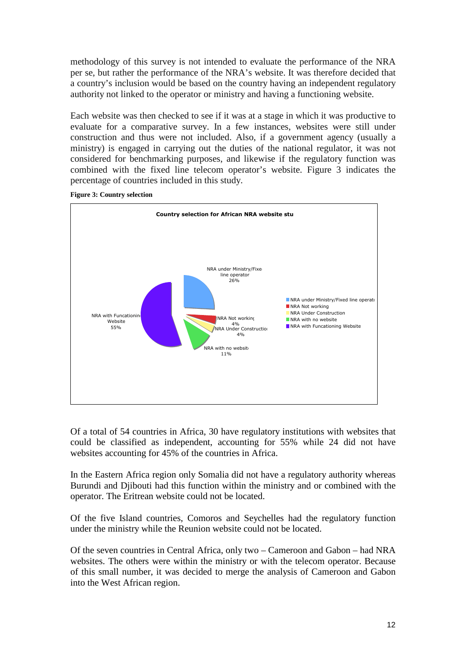methodology of this survey is not intended to evaluate the performance of the NRA per se, but rather the performance of the NRA's website. It was therefore decided that a country's inclusion would be based on the country having an independent regulatory authority not linked to the operator or ministry and having a functioning website.

Each website was then checked to see if it was at a stage in which it was productive to evaluate for a comparative survey. In a few instances, websites were still under construction and thus were not included. Also, if a government agency (usually a ministry) is engaged in carrying out the duties of the national regulator, it was not considered for benchmarking purposes, and likewise if the regulatory function was combined with the fixed line telecom operator's website. Figure 3 indicates the percentage of countries included in this study.



**Figure 3: Country selection** 

Of a total of 54 countries in Africa, 30 have regulatory institutions with websites that could be classified as independent, accounting for 55% while 24 did not have websites accounting for 45% of the countries in Africa.

In the Eastern Africa region only Somalia did not have a regulatory authority whereas Burundi and Djibouti had this function within the ministry and or combined with the operator. The Eritrean website could not be located.

Of the five Island countries, Comoros and Seychelles had the regulatory function under the ministry while the Reunion website could not be located.

Of the seven countries in Central Africa, only two – Cameroon and Gabon – had NRA websites. The others were within the ministry or with the telecom operator. Because of this small number, it was decided to merge the analysis of Cameroon and Gabon into the West African region.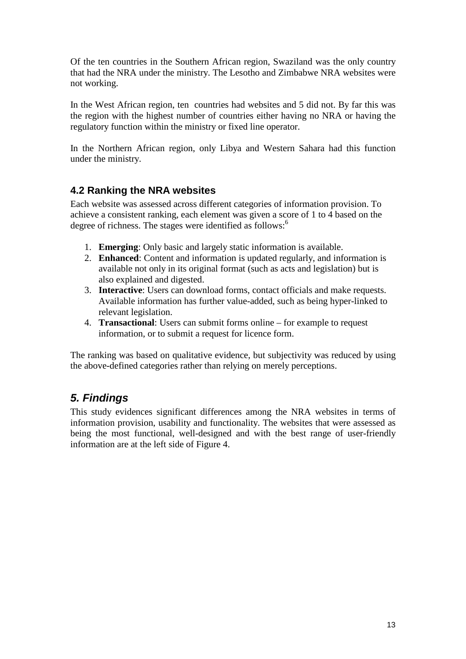Of the ten countries in the Southern African region, Swaziland was the only country that had the NRA under the ministry. The Lesotho and Zimbabwe NRA websites were not working.

In the West African region, ten countries had websites and 5 did not. By far this was the region with the highest number of countries either having no NRA or having the regulatory function within the ministry or fixed line operator.

In the Northern African region, only Libya and Western Sahara had this function under the ministry.

## **4.2 Ranking the NRA websites**

Each website was assessed across different categories of information provision. To achieve a consistent ranking, each element was given a score of 1 to 4 based on the degree of richness. The stages were identified as follows:<sup>6</sup>

- 1. **Emerging**: Only basic and largely static information is available.
- 2. **Enhanced**: Content and information is updated regularly, and information is available not only in its original format (such as acts and legislation) but is also explained and digested.
- 3. **Interactive**: Users can download forms, contact officials and make requests. Available information has further value-added, such as being hyper-linked to relevant legislation.
- 4. **Transactional**: Users can submit forms online for example to request information, or to submit a request for licence form.

The ranking was based on qualitative evidence, but subjectivity was reduced by using the above-defined categories rather than relying on merely perceptions.

# **5. Findings**

This study evidences significant differences among the NRA websites in terms of information provision, usability and functionality. The websites that were assessed as being the most functional, well-designed and with the best range of user-friendly information are at the left side of Figure 4.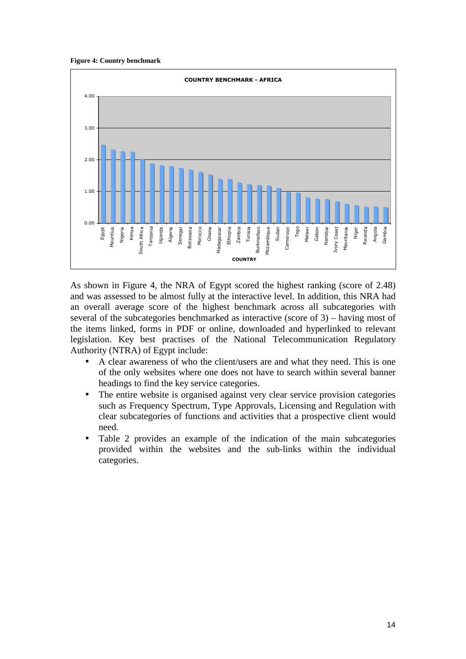**Figure 4: Country benchmark** 



As shown in Figure 4, the NRA of Egypt scored the highest ranking (score of 2.48) and was assessed to be almost fully at the interactive level. In addition, this NRA had an overall average score of the highest benchmark across all subcategories with several of the subcategories benchmarked as interactive (score of 3) – having most of the items linked, forms in PDF or online, downloaded and hyperlinked to relevant legislation. Key best practises of the National Telecommunication Regulatory Authority (NTRA) of Egypt include:

- A clear awareness of who the client/users are and what they need. This is one of the only websites where one does not have to search within several banner headings to find the key service categories.
- The entire website is organised against very clear service provision categories such as Frequency Spectrum, Type Approvals, Licensing and Regulation with clear subcategories of functions and activities that a prospective client would need.
- Table 2 provides an example of the indication of the main subcategories provided within the websites and the sub-links within the individual categories.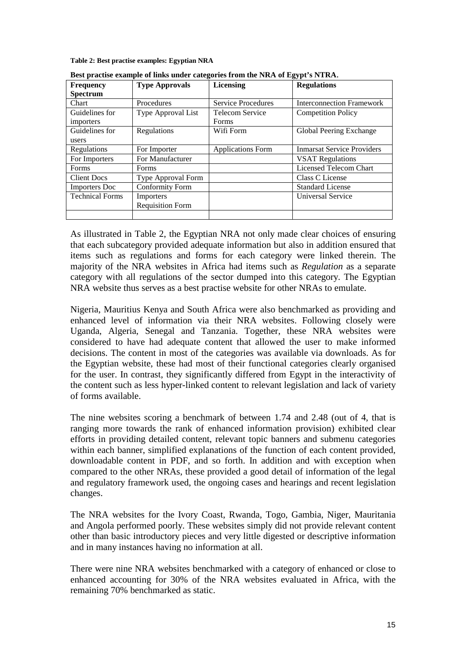**Table 2: Best practise examples: Egyptian NRA** 

| <b>Frequency</b>       | <b>Type Approvals</b>   | <b>Licensing</b>          | <b>Regulations</b>                |
|------------------------|-------------------------|---------------------------|-----------------------------------|
| <b>Spectrum</b>        |                         |                           |                                   |
| Chart                  | Procedures              | <b>Service Procedures</b> | <b>Interconnection Framework</b>  |
| Guidelines for         | Type Approval List      | <b>Telecom Service</b>    | <b>Competition Policy</b>         |
| importers              |                         | Forms                     |                                   |
| Guidelines for         | Regulations             | Wifi Form                 | Global Peering Exchange           |
| users                  |                         |                           |                                   |
| Regulations            | For Importer            | <b>Applications Form</b>  | <b>Inmarsat Service Providers</b> |
| For Importers          | For Manufacturer        |                           | <b>VSAT Regulations</b>           |
| Forms                  | Forms                   |                           | Licensed Telecom Chart            |
| <b>Client Docs</b>     | Type Approval Form      |                           | Class C License                   |
| <b>Importers Doc</b>   | <b>Conformity Form</b>  |                           | <b>Standard License</b>           |
| <b>Technical Forms</b> | Importers               |                           | Universal Service                 |
|                        | <b>Requisition Form</b> |                           |                                   |
|                        |                         |                           |                                   |

**Best practise example of links under categories from the NRA of Egypt's NTRA**.

As illustrated in Table 2, the Egyptian NRA not only made clear choices of ensuring that each subcategory provided adequate information but also in addition ensured that items such as regulations and forms for each category were linked therein. The majority of the NRA websites in Africa had items such as *Regulation* as a separate category with all regulations of the sector dumped into this category. The Egyptian NRA website thus serves as a best practise website for other NRAs to emulate.

Nigeria, Mauritius Kenya and South Africa were also benchmarked as providing and enhanced level of information via their NRA websites. Following closely were Uganda, Algeria, Senegal and Tanzania. Together, these NRA websites were considered to have had adequate content that allowed the user to make informed decisions. The content in most of the categories was available via downloads. As for the Egyptian website, these had most of their functional categories clearly organised for the user. In contrast, they significantly differed from Egypt in the interactivity of the content such as less hyper-linked content to relevant legislation and lack of variety of forms available.

The nine websites scoring a benchmark of between 1.74 and 2.48 (out of 4, that is ranging more towards the rank of enhanced information provision) exhibited clear efforts in providing detailed content, relevant topic banners and submenu categories within each banner, simplified explanations of the function of each content provided, downloadable content in PDF, and so forth. In addition and with exception when compared to the other NRAs, these provided a good detail of information of the legal and regulatory framework used, the ongoing cases and hearings and recent legislation changes.

The NRA websites for the Ivory Coast, Rwanda, Togo, Gambia, Niger, Mauritania and Angola performed poorly. These websites simply did not provide relevant content other than basic introductory pieces and very little digested or descriptive information and in many instances having no information at all.

There were nine NRA websites benchmarked with a category of enhanced or close to enhanced accounting for 30% of the NRA websites evaluated in Africa, with the remaining 70% benchmarked as static.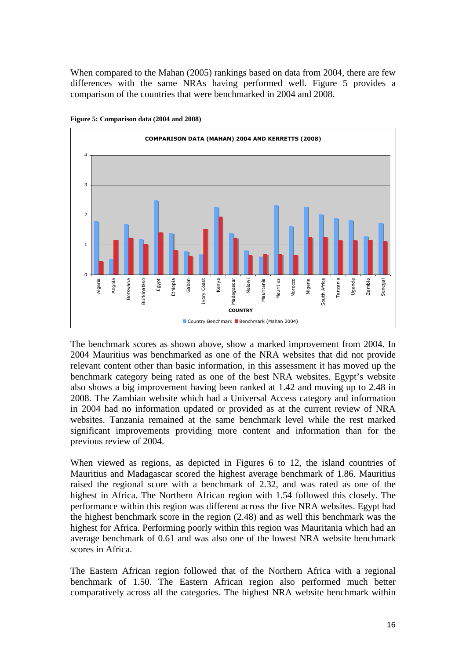When compared to the Mahan (2005) rankings based on data from 2004, there are few differences with the same NRAs having performed well. Figure 5 provides a comparison of the countries that were benchmarked in 2004 and 2008.



**Figure 5: Comparison data (2004 and 2008)** 

The benchmark scores as shown above, show a marked improvement from 2004. In 2004 Mauritius was benchmarked as one of the NRA websites that did not provide relevant content other than basic information, in this assessment it has moved up the benchmark category being rated as one of the best NRA websites. Egypt's website also shows a big improvement having been ranked at 1.42 and moving up to 2.48 in 2008. The Zambian website which had a Universal Access category and information in 2004 had no information updated or provided as at the current review of NRA websites. Tanzania remained at the same benchmark level while the rest marked significant improvements providing more content and information than for the previous review of 2004.

When viewed as regions, as depicted in Figures 6 to 12, the island countries of Mauritius and Madagascar scored the highest average benchmark of 1.86. Mauritius raised the regional score with a benchmark of 2.32, and was rated as one of the highest in Africa. The Northern African region with 1.54 followed this closely. The performance within this region was different across the five NRA websites. Egypt had the highest benchmark score in the region (2.48) and as well this benchmark was the highest for Africa. Performing poorly within this region was Mauritania which had an average benchmark of 0.61 and was also one of the lowest NRA website benchmark scores in Africa.

The Eastern African region followed that of the Northern Africa with a regional benchmark of 1.50. The Eastern African region also performed much better comparatively across all the categories. The highest NRA website benchmark within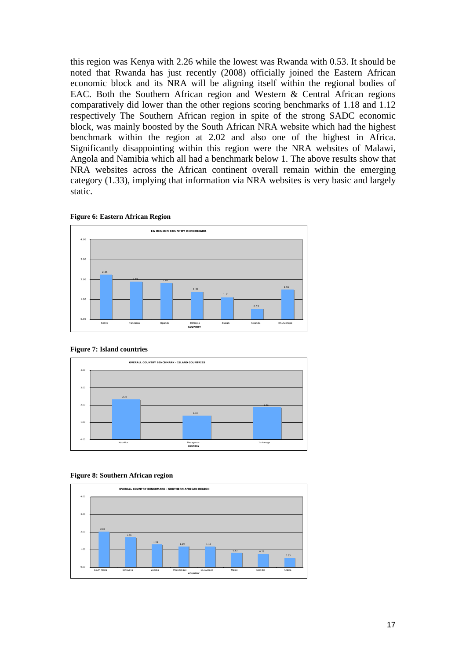this region was Kenya with 2.26 while the lowest was Rwanda with 0.53. It should be noted that Rwanda has just recently (2008) officially joined the Eastern African economic block and its NRA will be aligning itself within the regional bodies of EAC. Both the Southern African region and Western & Central African regions comparatively did lower than the other regions scoring benchmarks of 1.18 and 1.12 respectively The Southern African region in spite of the strong SADC economic block, was mainly boosted by the South African NRA website which had the highest benchmark within the region at 2.02 and also one of the highest in Africa. Significantly disappointing within this region were the NRA websites of Malawi, Angola and Namibia which all had a benchmark below 1. The above results show that NRA websites across the African continent overall remain within the emerging category (1.33), implying that information via NRA websites is very basic and largely static.





**Figure 7: Island countries** 





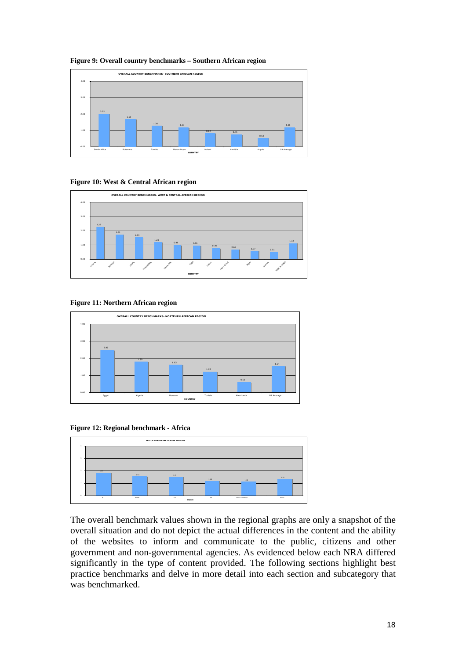

#### **Figure 9: Overall country benchmarks – Southern African region**

#### **Figure 10: West & Central African region**



#### **Figure 11: Northern African region**



#### **Figure 12: Regional benchmark - Africa**



The overall benchmark values shown in the regional graphs are only a snapshot of the overall situation and do not depict the actual differences in the content and the ability of the websites to inform and communicate to the public, citizens and other government and non-governmental agencies. As evidenced below each NRA differed significantly in the type of content provided. The following sections highlight best practice benchmarks and delve in more detail into each section and subcategory that was benchmarked.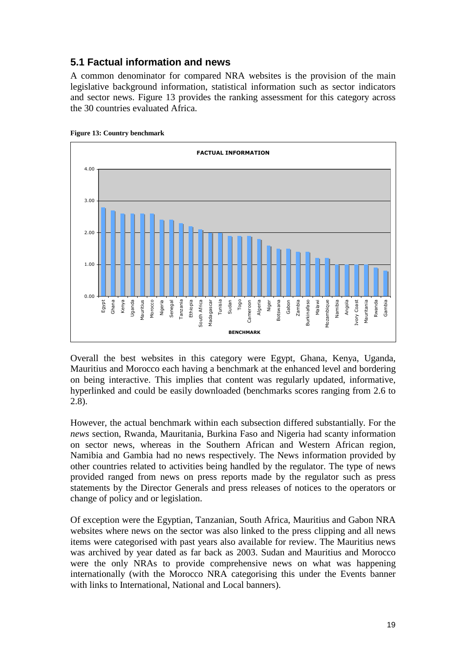# **5.1 Factual information and news**

A common denominator for compared NRA websites is the provision of the main legislative background information, statistical information such as sector indicators and sector news. Figure 13 provides the ranking assessment for this category across the 30 countries evaluated Africa.





Overall the best websites in this category were Egypt, Ghana, Kenya, Uganda, Mauritius and Morocco each having a benchmark at the enhanced level and bordering on being interactive. This implies that content was regularly updated, informative, hyperlinked and could be easily downloaded (benchmarks scores ranging from 2.6 to 2.8).

However, the actual benchmark within each subsection differed substantially. For the *news* section, Rwanda, Mauritania, Burkina Faso and Nigeria had scanty information on sector news, whereas in the Southern African and Western African region, Namibia and Gambia had no news respectively. The News information provided by other countries related to activities being handled by the regulator. The type of news provided ranged from news on press reports made by the regulator such as press statements by the Director Generals and press releases of notices to the operators or change of policy and or legislation.

Of exception were the Egyptian, Tanzanian, South Africa, Mauritius and Gabon NRA websites where news on the sector was also linked to the press clipping and all news items were categorised with past years also available for review. The Mauritius news was archived by year dated as far back as 2003. Sudan and Mauritius and Morocco were the only NRAs to provide comprehensive news on what was happening internationally (with the Morocco NRA categorising this under the Events banner with links to International, National and Local banners).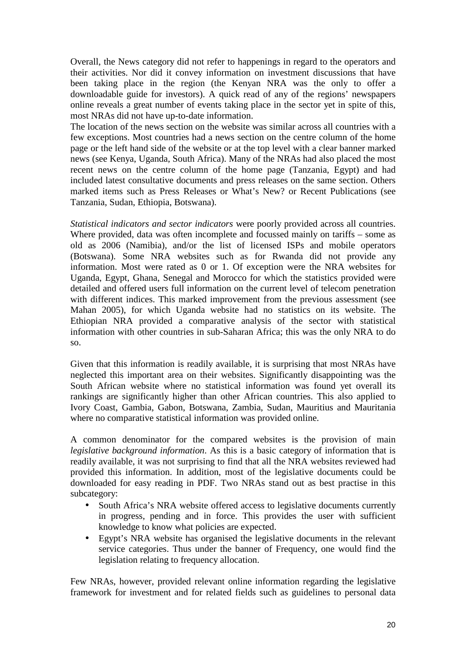Overall, the News category did not refer to happenings in regard to the operators and their activities. Nor did it convey information on investment discussions that have been taking place in the region (the Kenyan NRA was the only to offer a downloadable guide for investors). A quick read of any of the regions' newspapers online reveals a great number of events taking place in the sector yet in spite of this, most NRAs did not have up-to-date information.

The location of the news section on the website was similar across all countries with a few exceptions. Most countries had a news section on the centre column of the home page or the left hand side of the website or at the top level with a clear banner marked news (see Kenya, Uganda, South Africa). Many of the NRAs had also placed the most recent news on the centre column of the home page (Tanzania, Egypt) and had included latest consultative documents and press releases on the same section. Others marked items such as Press Releases or What's New? or Recent Publications (see Tanzania, Sudan, Ethiopia, Botswana).

*Statistical indicators and sector indicators* were poorly provided across all countries. Where provided, data was often incomplete and focussed mainly on tariffs – some as old as 2006 (Namibia), and/or the list of licensed ISPs and mobile operators (Botswana). Some NRA websites such as for Rwanda did not provide any information. Most were rated as 0 or 1. Of exception were the NRA websites for Uganda, Egypt, Ghana, Senegal and Morocco for which the statistics provided were detailed and offered users full information on the current level of telecom penetration with different indices. This marked improvement from the previous assessment (see Mahan 2005), for which Uganda website had no statistics on its website. The Ethiopian NRA provided a comparative analysis of the sector with statistical information with other countries in sub-Saharan Africa; this was the only NRA to do so.

Given that this information is readily available, it is surprising that most NRAs have neglected this important area on their websites. Significantly disappointing was the South African website where no statistical information was found yet overall its rankings are significantly higher than other African countries. This also applied to Ivory Coast, Gambia, Gabon, Botswana, Zambia, Sudan, Mauritius and Mauritania where no comparative statistical information was provided online.

A common denominator for the compared websites is the provision of main *legislative background information*. As this is a basic category of information that is readily available, it was not surprising to find that all the NRA websites reviewed had provided this information. In addition, most of the legislative documents could be downloaded for easy reading in PDF. Two NRAs stand out as best practise in this subcategory:

- South Africa's NRA website offered access to legislative documents currently in progress, pending and in force. This provides the user with sufficient knowledge to know what policies are expected.
- Egypt's NRA website has organised the legislative documents in the relevant service categories. Thus under the banner of Frequency, one would find the legislation relating to frequency allocation.

Few NRAs, however, provided relevant online information regarding the legislative framework for investment and for related fields such as guidelines to personal data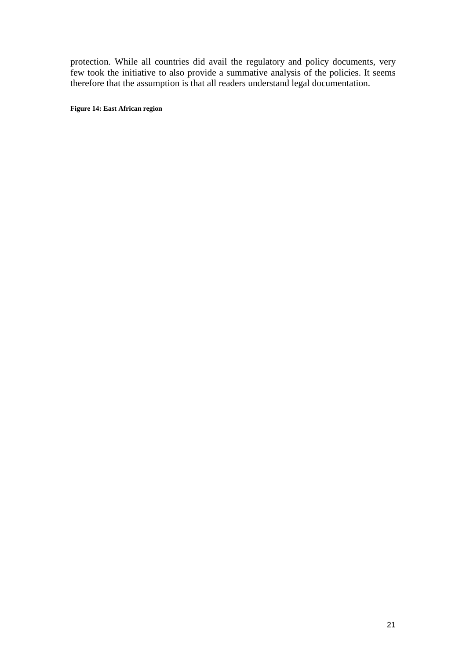protection. While all countries did avail the regulatory and policy documents, very few took the initiative to also provide a summative analysis of the policies. It seems therefore that the assumption is that all readers understand legal documentation.

**Figure 14: East African region**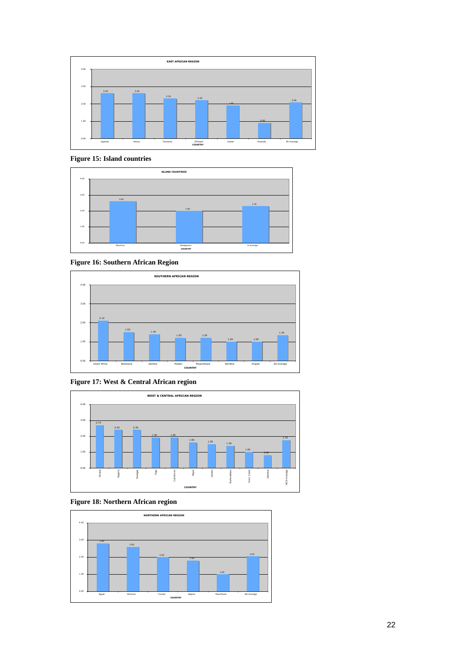

**Figure 15: Island countries** 



**Figure 16: Southern African Region** 







**Figure 18: Northern African region** 

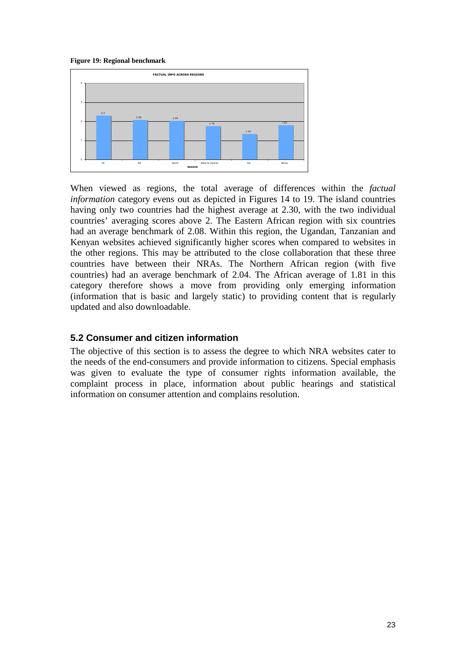**Figure 19: Regional benchmark** 



When viewed as regions, the total average of differences within the *factual information* category evens out as depicted in Figures 14 to 19. The island countries having only two countries had the highest average at 2.30, with the two individual countries' averaging scores above 2. The Eastern African region with six countries had an average benchmark of 2.08. Within this region, the Ugandan, Tanzanian and Kenyan websites achieved significantly higher scores when compared to websites in the other regions. This may be attributed to the close collaboration that these three countries have between their NRAs. The Northern African region (with five countries) had an average benchmark of 2.04. The African average of 1.81 in this category therefore shows a move from providing only emerging information (information that is basic and largely static) to providing content that is regularly updated and also downloadable.

### **5.2 Consumer and citizen information**

The objective of this section is to assess the degree to which NRA websites cater to the needs of the end-consumers and provide information to citizens. Special emphasis was given to evaluate the type of consumer rights information available, the complaint process in place, information about public hearings and statistical information on consumer attention and complains resolution.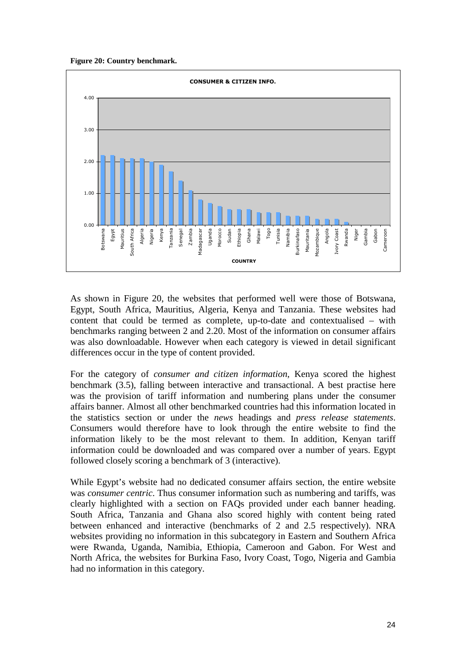



As shown in Figure 20, the websites that performed well were those of Botswana, Egypt, South Africa, Mauritius, Algeria, Kenya and Tanzania. These websites had content that could be termed as complete, up-to-date and contextualised – with benchmarks ranging between 2 and 2.20. Most of the information on consumer affairs was also downloadable. However when each category is viewed in detail significant differences occur in the type of content provided.

For the category of *consumer and citizen information*, Kenya scored the highest benchmark (3.5), falling between interactive and transactional. A best practise here was the provision of tariff information and numbering plans under the consumer affairs banner. Almost all other benchmarked countries had this information located in the statistics section or under the *news* headings and *press release statements*. Consumers would therefore have to look through the entire website to find the information likely to be the most relevant to them. In addition, Kenyan tariff information could be downloaded and was compared over a number of years. Egypt followed closely scoring a benchmark of 3 (interactive).

While Egypt's website had no dedicated consumer affairs section, the entire website was *consumer centric*. Thus consumer information such as numbering and tariffs, was clearly highlighted with a section on FAQs provided under each banner heading. South Africa, Tanzania and Ghana also scored highly with content being rated between enhanced and interactive (benchmarks of 2 and 2.5 respectively). NRA websites providing no information in this subcategory in Eastern and Southern Africa were Rwanda, Uganda, Namibia, Ethiopia, Cameroon and Gabon. For West and North Africa, the websites for Burkina Faso, Ivory Coast, Togo, Nigeria and Gambia had no information in this category.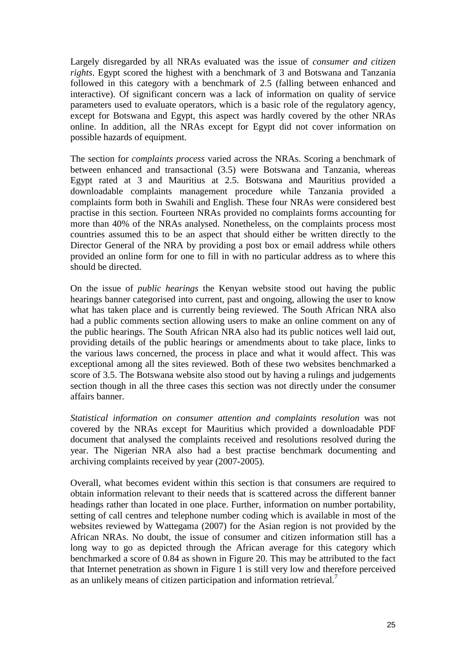Largely disregarded by all NRAs evaluated was the issue of *consumer and citizen rights*. Egypt scored the highest with a benchmark of 3 and Botswana and Tanzania followed in this category with a benchmark of 2.5 (falling between enhanced and interactive). Of significant concern was a lack of information on quality of service parameters used to evaluate operators, which is a basic role of the regulatory agency, except for Botswana and Egypt, this aspect was hardly covered by the other NRAs online. In addition, all the NRAs except for Egypt did not cover information on possible hazards of equipment.

The section for *complaints process* varied across the NRAs. Scoring a benchmark of between enhanced and transactional (3.5) were Botswana and Tanzania, whereas Egypt rated at 3 and Mauritius at 2.5. Botswana and Mauritius provided a downloadable complaints management procedure while Tanzania provided a complaints form both in Swahili and English. These four NRAs were considered best practise in this section. Fourteen NRAs provided no complaints forms accounting for more than 40% of the NRAs analysed. Nonetheless, on the complaints process most countries assumed this to be an aspect that should either be written directly to the Director General of the NRA by providing a post box or email address while others provided an online form for one to fill in with no particular address as to where this should be directed.

On the issue of *public hearings* the Kenyan website stood out having the public hearings banner categorised into current, past and ongoing, allowing the user to know what has taken place and is currently being reviewed. The South African NRA also had a public comments section allowing users to make an online comment on any of the public hearings. The South African NRA also had its public notices well laid out, providing details of the public hearings or amendments about to take place, links to the various laws concerned, the process in place and what it would affect. This was exceptional among all the sites reviewed. Both of these two websites benchmarked a score of 3.5. The Botswana website also stood out by having a rulings and judgements section though in all the three cases this section was not directly under the consumer affairs banner.

*Statistical information on consumer attention and complaints resolution* was not covered by the NRAs except for Mauritius which provided a downloadable PDF document that analysed the complaints received and resolutions resolved during the year. The Nigerian NRA also had a best practise benchmark documenting and archiving complaints received by year (2007-2005).

Overall, what becomes evident within this section is that consumers are required to obtain information relevant to their needs that is scattered across the different banner headings rather than located in one place. Further, information on number portability, setting of call centres and telephone number coding which is available in most of the websites reviewed by Wattegama (2007) for the Asian region is not provided by the African NRAs. No doubt, the issue of consumer and citizen information still has a long way to go as depicted through the African average for this category which benchmarked a score of 0.84 as shown in Figure 20. This may be attributed to the fact that Internet penetration as shown in Figure 1 is still very low and therefore perceived as an unlikely means of citizen participation and information retrieval.<sup>7</sup>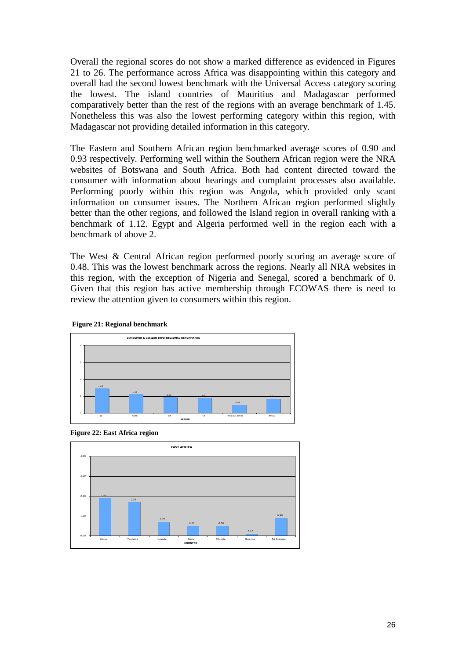Overall the regional scores do not show a marked difference as evidenced in Figures 21 to 26. The performance across Africa was disappointing within this category and overall had the second lowest benchmark with the Universal Access category scoring the lowest. The island countries of Mauritius and Madagascar performed comparatively better than the rest of the regions with an average benchmark of 1.45. Nonetheless this was also the lowest performing category within this region, with Madagascar not providing detailed information in this category.

The Eastern and Southern African region benchmarked average scores of 0.90 and 0.93 respectively. Performing well within the Southern African region were the NRA websites of Botswana and South Africa. Both had content directed toward the consumer with information about hearings and complaint processes also available. Performing poorly within this region was Angola, which provided only scant information on consumer issues. The Northern African region performed slightly better than the other regions, and followed the Island region in overall ranking with a benchmark of 1.12. Egypt and Algeria performed well in the region each with a benchmark of above 2.

The West & Central African region performed poorly scoring an average score of 0.48. This was the lowest benchmark across the regions. Nearly all NRA websites in this region, with the exception of Nigeria and Senegal, scored a benchmark of 0. Given that this region has active membership through ECOWAS there is need to review the attention given to consumers within this region.







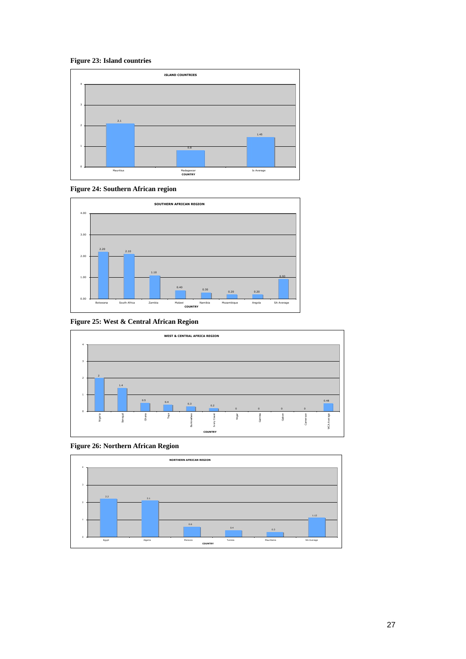







![](_page_28_Figure_4.jpeg)

![](_page_28_Figure_5.jpeg)

**Figure 26: Northern African Region** 

![](_page_28_Figure_7.jpeg)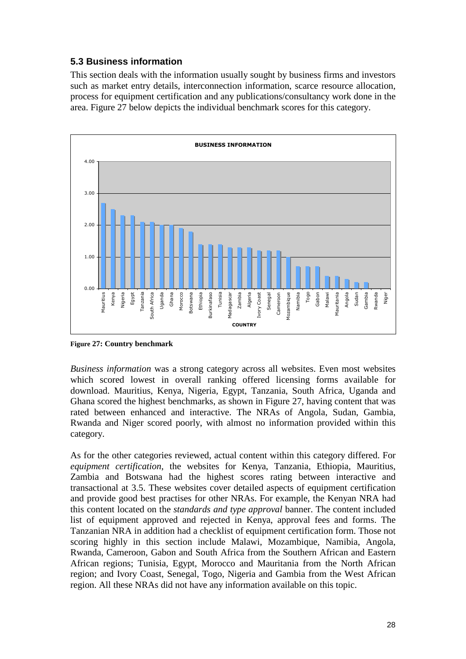### **5.3 Business information**

This section deals with the information usually sought by business firms and investors such as market entry details, interconnection information, scarce resource allocation, process for equipment certification and any publications/consultancy work done in the area. Figure 27 below depicts the individual benchmark scores for this category.

![](_page_29_Figure_2.jpeg)

**Figure 27: Country benchmark** 

*Business information* was a strong category across all websites. Even most websites which scored lowest in overall ranking offered licensing forms available for download. Mauritius, Kenya, Nigeria, Egypt, Tanzania, South Africa, Uganda and Ghana scored the highest benchmarks, as shown in Figure 27, having content that was rated between enhanced and interactive. The NRAs of Angola, Sudan, Gambia, Rwanda and Niger scored poorly, with almost no information provided within this category.

As for the other categories reviewed, actual content within this category differed. For *equipment certification*, the websites for Kenya, Tanzania, Ethiopia, Mauritius, Zambia and Botswana had the highest scores rating between interactive and transactional at 3.5. These websites cover detailed aspects of equipment certification and provide good best practises for other NRAs. For example, the Kenyan NRA had this content located on the *standards and type approval* banner. The content included list of equipment approved and rejected in Kenya, approval fees and forms. The Tanzanian NRA in addition had a checklist of equipment certification form. Those not scoring highly in this section include Malawi, Mozambique, Namibia, Angola, Rwanda, Cameroon, Gabon and South Africa from the Southern African and Eastern African regions; Tunisia, Egypt, Morocco and Mauritania from the North African region; and Ivory Coast, Senegal, Togo, Nigeria and Gambia from the West African region. All these NRAs did not have any information available on this topic.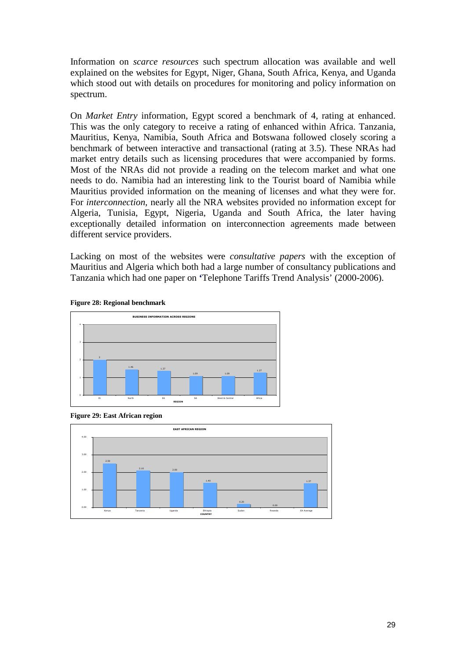Information on *scarce resources* such spectrum allocation was available and well explained on the websites for Egypt, Niger, Ghana, South Africa, Kenya, and Uganda which stood out with details on procedures for monitoring and policy information on spectrum.

On *Market Entry* information, Egypt scored a benchmark of 4, rating at enhanced. This was the only category to receive a rating of enhanced within Africa. Tanzania, Mauritius, Kenya, Namibia, South Africa and Botswana followed closely scoring a benchmark of between interactive and transactional (rating at 3.5). These NRAs had market entry details such as licensing procedures that were accompanied by forms. Most of the NRAs did not provide a reading on the telecom market and what one needs to do. Namibia had an interesting link to the Tourist board of Namibia while Mauritius provided information on the meaning of licenses and what they were for. For *interconnection*, nearly all the NRA websites provided no information except for Algeria, Tunisia, Egypt, Nigeria, Uganda and South Africa, the later having exceptionally detailed information on interconnection agreements made between different service providers.

Lacking on most of the websites were *consultative papers* with the exception of Mauritius and Algeria which both had a large number of consultancy publications and Tanzania which had one paper on **'**Telephone Tariffs Trend Analysis' (2000-2006).

#### **Figure 28: Regional benchmark**

![](_page_30_Figure_4.jpeg)

![](_page_30_Figure_5.jpeg)

![](_page_30_Figure_6.jpeg)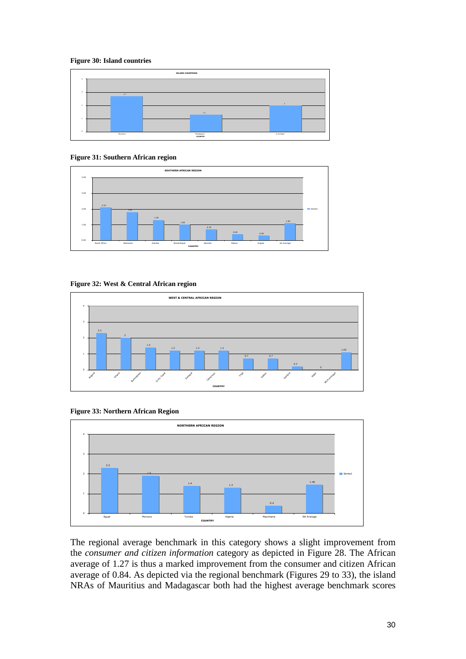#### **Figure 30: Island countries**

![](_page_31_Figure_1.jpeg)

#### **Figure 31: Southern African region**

![](_page_31_Figure_3.jpeg)

#### **Figure 32: West & Central African region**

![](_page_31_Figure_5.jpeg)

#### **Figure 33: Northern African Region**

![](_page_31_Figure_7.jpeg)

The regional average benchmark in this category shows a slight improvement from the *consumer and citizen information* category as depicted in Figure 28. The African average of 1.27 is thus a marked improvement from the consumer and citizen African average of 0.84. As depicted via the regional benchmark (Figures 29 to 33), the island NRAs of Mauritius and Madagascar both had the highest average benchmark scores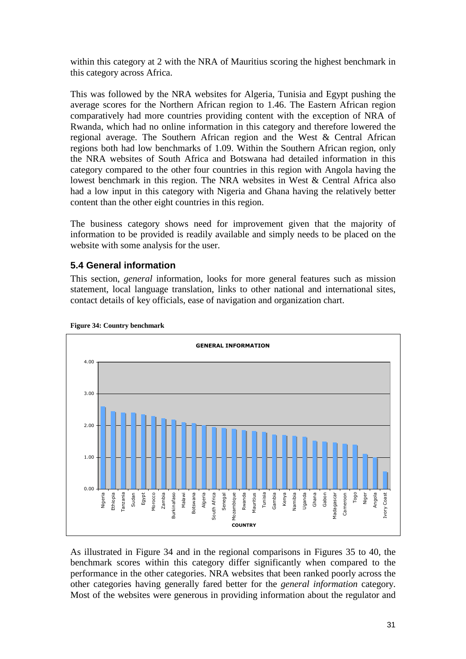within this category at 2 with the NRA of Mauritius scoring the highest benchmark in this category across Africa.

This was followed by the NRA websites for Algeria, Tunisia and Egypt pushing the average scores for the Northern African region to 1.46. The Eastern African region comparatively had more countries providing content with the exception of NRA of Rwanda, which had no online information in this category and therefore lowered the regional average. The Southern African region and the West & Central African regions both had low benchmarks of 1.09. Within the Southern African region, only the NRA websites of South Africa and Botswana had detailed information in this category compared to the other four countries in this region with Angola having the lowest benchmark in this region. The NRA websites in West & Central Africa also had a low input in this category with Nigeria and Ghana having the relatively better content than the other eight countries in this region.

The business category shows need for improvement given that the majority of information to be provided is readily available and simply needs to be placed on the website with some analysis for the user.

### **5.4 General information**

This section, *general* information, looks for more general features such as mission statement, local language translation, links to other national and international sites, contact details of key officials, ease of navigation and organization chart.

![](_page_32_Figure_5.jpeg)

#### **Figure 34: Country benchmark**

As illustrated in Figure 34 and in the regional comparisons in Figures 35 to 40, the benchmark scores within this category differ significantly when compared to the performance in the other categories. NRA websites that been ranked poorly across the other categories having generally fared better for the *general information* category. Most of the websites were generous in providing information about the regulator and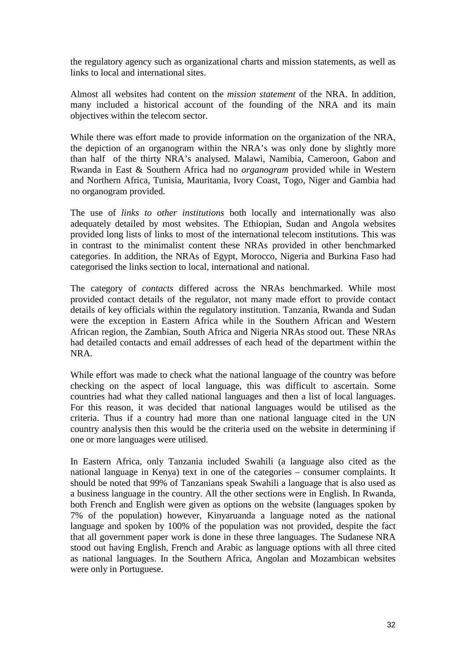the regulatory agency such as organizational charts and mission statements, as well as links to local and international sites.

Almost all websites had content on the *mission statement* of the NRA. In addition, many included a historical account of the founding of the NRA and its main objectives within the telecom sector.

While there was effort made to provide information on the organization of the NRA, the depiction of an organogram within the NRA's was only done by slightly more than half of the thirty NRA's analysed. Malawi, Namibia, Cameroon, Gabon and Rwanda in East & Southern Africa had no *organogram* provided while in Western and Northern Africa, Tunisia, Mauritania, Ivory Coast, Togo, Niger and Gambia had no organogram provided.

The use of *links to other institutions* both locally and internationally was also adequately detailed by most websites. The Ethiopian, Sudan and Angola websites provided long lists of links to most of the international telecom institutions. This was in contrast to the minimalist content these NRAs provided in other benchmarked categories. In addition, the NRAs of Egypt, Morocco, Nigeria and Burkina Faso had categorised the links section to local, international and national.

The category of *contacts* differed across the NRAs benchmarked. While most provided contact details of the regulator, not many made effort to provide contact details of key officials within the regulatory institution. Tanzania, Rwanda and Sudan were the exception in Eastern Africa while in the Southern African and Western African region, the Zambian, South Africa and Nigeria NRAs stood out. These NRAs had detailed contacts and email addresses of each head of the department within the NRA.

While effort was made to check what the national language of the country was before checking on the aspect of local language, this was difficult to ascertain. Some countries had what they called national languages and then a list of local languages. For this reason, it was decided that national languages would be utilised as the criteria. Thus if a country had more than one national language cited in the UN country analysis then this would be the criteria used on the website in determining if one or more languages were utilised.

In Eastern Africa, only Tanzania included Swahili (a language also cited as the national language in Kenya) text in one of the categories – consumer complaints. It should be noted that 99% of Tanzanians speak Swahili a language that is also used as a business language in the country. All the other sections were in English. In Rwanda, both French and English were given as options on the website (languages spoken by 7% of the population) however, Kinyaruanda a language noted as the national language and spoken by 100% of the population was not provided, despite the fact that all government paper work is done in these three languages. The Sudanese NRA stood out having English, French and Arabic as language options with all three cited as national languages. In the Southern Africa, Angolan and Mozambican websites were only in Portuguese.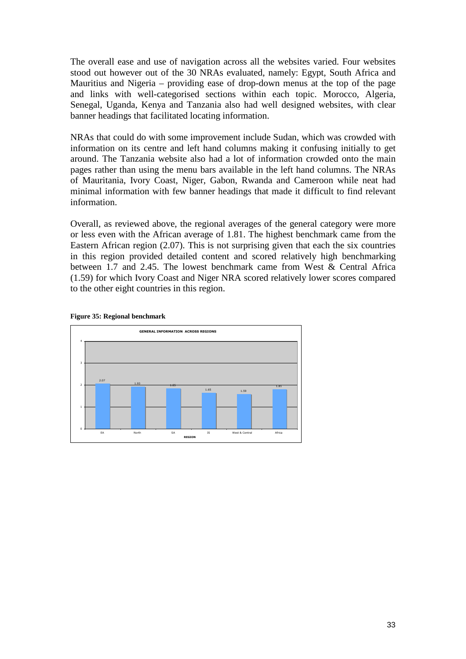The overall ease and use of navigation across all the websites varied. Four websites stood out however out of the 30 NRAs evaluated, namely: Egypt, South Africa and Mauritius and Nigeria – providing ease of drop-down menus at the top of the page and links with well-categorised sections within each topic. Morocco, Algeria, Senegal, Uganda, Kenya and Tanzania also had well designed websites, with clear banner headings that facilitated locating information.

NRAs that could do with some improvement include Sudan, which was crowded with information on its centre and left hand columns making it confusing initially to get around. The Tanzania website also had a lot of information crowded onto the main pages rather than using the menu bars available in the left hand columns. The NRAs of Mauritania, Ivory Coast, Niger, Gabon, Rwanda and Cameroon while neat had minimal information with few banner headings that made it difficult to find relevant information.

Overall, as reviewed above, the regional averages of the general category were more or less even with the African average of 1.81. The highest benchmark came from the Eastern African region (2.07). This is not surprising given that each the six countries in this region provided detailed content and scored relatively high benchmarking between 1.7 and 2.45. The lowest benchmark came from West & Central Africa (1.59) for which Ivory Coast and Niger NRA scored relatively lower scores compared to the other eight countries in this region.

![](_page_34_Figure_3.jpeg)

**Figure 35: Regional benchmark**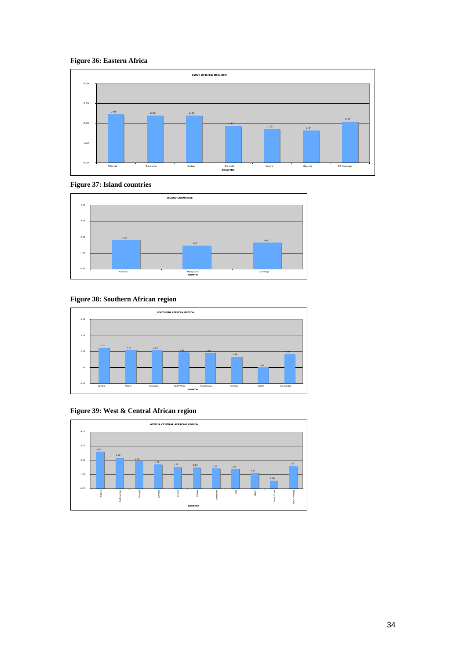#### **Figure 36: Eastern Africa**

![](_page_35_Figure_1.jpeg)

![](_page_35_Figure_2.jpeg)

![](_page_35_Figure_3.jpeg)

#### **Figure 38: Southern African region**

![](_page_35_Figure_5.jpeg)

#### **Figure 39: West & Central African region**

![](_page_35_Figure_7.jpeg)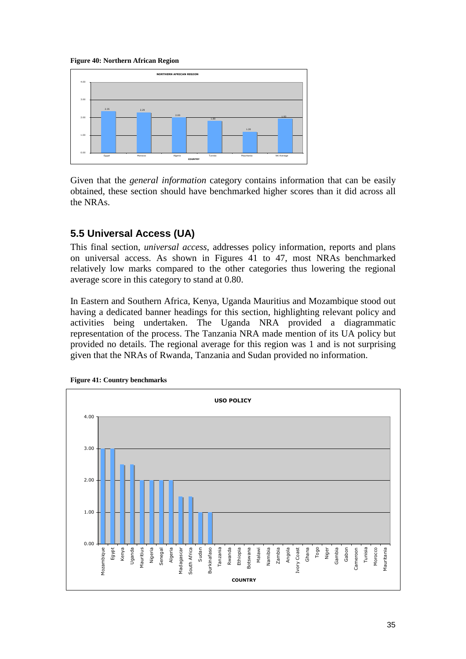**Figure 40: Northern African Region** 

![](_page_36_Figure_1.jpeg)

Given that the *general information* category contains information that can be easily obtained, these section should have benchmarked higher scores than it did across all the NRAs.

## **5.5 Universal Access (UA)**

This final section, *universal access*, addresses policy information, reports and plans on universal access. As shown in Figures 41 to 47, most NRAs benchmarked relatively low marks compared to the other categories thus lowering the regional average score in this category to stand at 0.80.

In Eastern and Southern Africa, Kenya, Uganda Mauritius and Mozambique stood out having a dedicated banner headings for this section, highlighting relevant policy and activities being undertaken. The Uganda NRA provided a diagrammatic representation of the process. The Tanzania NRA made mention of its UA policy but provided no details. The regional average for this region was 1 and is not surprising given that the NRAs of Rwanda, Tanzania and Sudan provided no information.

![](_page_36_Figure_6.jpeg)

**Figure 41: Country benchmarks**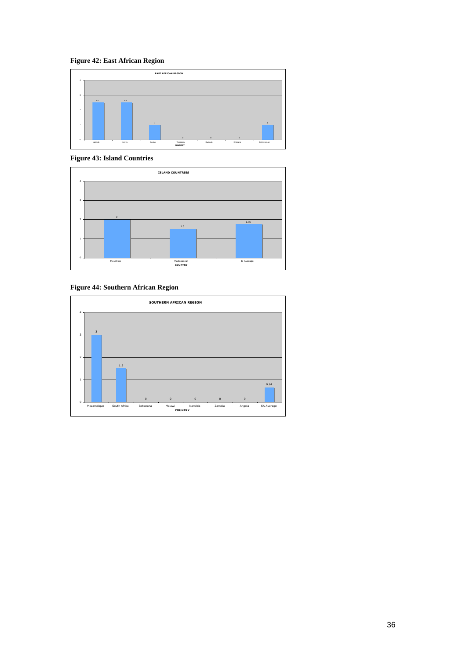#### **Figure 42: East African Region**

![](_page_37_Figure_1.jpeg)

**Figure 43: Island Countries** 

![](_page_37_Figure_3.jpeg)

#### **Figure 44: Southern African Region**

![](_page_37_Figure_5.jpeg)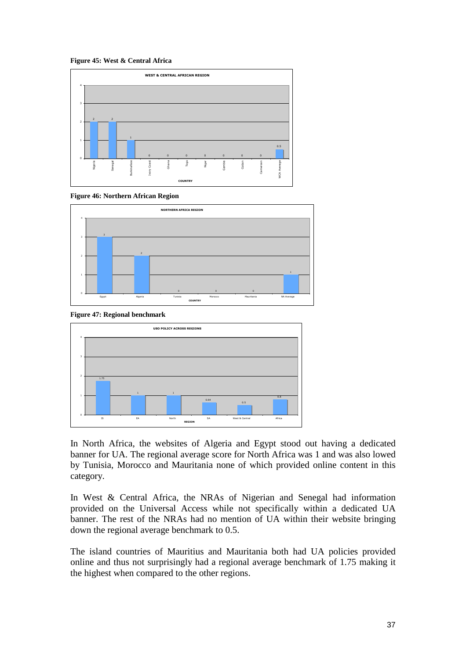**Figure 45: West & Central Africa** 

![](_page_38_Figure_1.jpeg)

![](_page_38_Figure_2.jpeg)

![](_page_38_Figure_3.jpeg)

**Figure 47: Regional benchmark** 

![](_page_38_Figure_5.jpeg)

In North Africa, the websites of Algeria and Egypt stood out having a dedicated banner for UA. The regional average score for North Africa was 1 and was also lowed by Tunisia, Morocco and Mauritania none of which provided online content in this category.

In West & Central Africa, the NRAs of Nigerian and Senegal had information provided on the Universal Access while not specifically within a dedicated UA banner. The rest of the NRAs had no mention of UA within their website bringing down the regional average benchmark to 0.5.

The island countries of Mauritius and Mauritania both had UA policies provided online and thus not surprisingly had a regional average benchmark of 1.75 making it the highest when compared to the other regions.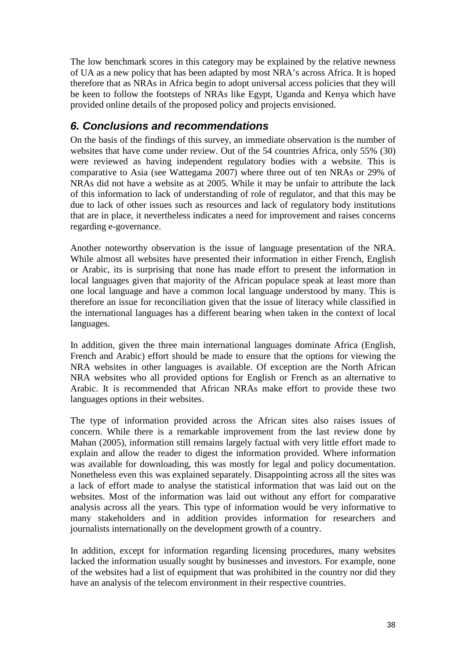The low benchmark scores in this category may be explained by the relative newness of UA as a new policy that has been adapted by most NRA's across Africa. It is hoped therefore that as NRAs in Africa begin to adopt universal access policies that they will be keen to follow the footsteps of NRAs like Egypt, Uganda and Kenya which have provided online details of the proposed policy and projects envisioned.

# **6. Conclusions and recommendations**

On the basis of the findings of this survey, an immediate observation is the number of websites that have come under review. Out of the 54 countries Africa, only 55% (30) were reviewed as having independent regulatory bodies with a website. This is comparative to Asia (see Wattegama 2007) where three out of ten NRAs or 29% of NRAs did not have a website as at 2005. While it may be unfair to attribute the lack of this information to lack of understanding of role of regulator, and that this may be due to lack of other issues such as resources and lack of regulatory body institutions that are in place, it nevertheless indicates a need for improvement and raises concerns regarding e-governance.

Another noteworthy observation is the issue of language presentation of the NRA. While almost all websites have presented their information in either French, English or Arabic, its is surprising that none has made effort to present the information in local languages given that majority of the African populace speak at least more than one local language and have a common local language understood by many. This is therefore an issue for reconciliation given that the issue of literacy while classified in the international languages has a different bearing when taken in the context of local languages.

In addition, given the three main international languages dominate Africa (English, French and Arabic) effort should be made to ensure that the options for viewing the NRA websites in other languages is available. Of exception are the North African NRA websites who all provided options for English or French as an alternative to Arabic. It is recommended that African NRAs make effort to provide these two languages options in their websites.

The type of information provided across the African sites also raises issues of concern. While there is a remarkable improvement from the last review done by Mahan (2005), information still remains largely factual with very little effort made to explain and allow the reader to digest the information provided. Where information was available for downloading, this was mostly for legal and policy documentation. Nonetheless even this was explained separately. Disappointing across all the sites was a lack of effort made to analyse the statistical information that was laid out on the websites. Most of the information was laid out without any effort for comparative analysis across all the years. This type of information would be very informative to many stakeholders and in addition provides information for researchers and journalists internationally on the development growth of a country.

In addition, except for information regarding licensing procedures, many websites lacked the information usually sought by businesses and investors. For example, none of the websites had a list of equipment that was prohibited in the country nor did they have an analysis of the telecom environment in their respective countries.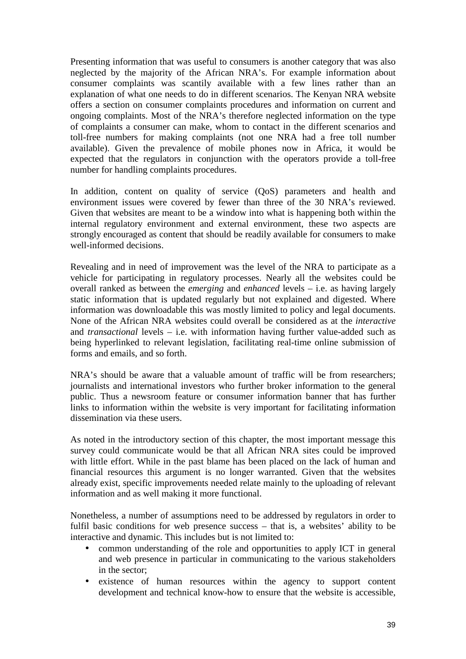Presenting information that was useful to consumers is another category that was also neglected by the majority of the African NRA's. For example information about consumer complaints was scantily available with a few lines rather than an explanation of what one needs to do in different scenarios. The Kenyan NRA website offers a section on consumer complaints procedures and information on current and ongoing complaints. Most of the NRA's therefore neglected information on the type of complaints a consumer can make, whom to contact in the different scenarios and toll-free numbers for making complaints (not one NRA had a free toll number available). Given the prevalence of mobile phones now in Africa, it would be expected that the regulators in conjunction with the operators provide a toll-free number for handling complaints procedures.

In addition, content on quality of service (QoS) parameters and health and environment issues were covered by fewer than three of the 30 NRA's reviewed. Given that websites are meant to be a window into what is happening both within the internal regulatory environment and external environment, these two aspects are strongly encouraged as content that should be readily available for consumers to make well-informed decisions.

Revealing and in need of improvement was the level of the NRA to participate as a vehicle for participating in regulatory processes. Nearly all the websites could be overall ranked as between the *emerging* and *enhanced* levels – i.e. as having largely static information that is updated regularly but not explained and digested. Where information was downloadable this was mostly limited to policy and legal documents. None of the African NRA websites could overall be considered as at the *interactive* and *transactional* levels – i.e. with information having further value-added such as being hyperlinked to relevant legislation, facilitating real-time online submission of forms and emails, and so forth.

NRA's should be aware that a valuable amount of traffic will be from researchers; journalists and international investors who further broker information to the general public. Thus a newsroom feature or consumer information banner that has further links to information within the website is very important for facilitating information dissemination via these users.

As noted in the introductory section of this chapter, the most important message this survey could communicate would be that all African NRA sites could be improved with little effort. While in the past blame has been placed on the lack of human and financial resources this argument is no longer warranted. Given that the websites already exist, specific improvements needed relate mainly to the uploading of relevant information and as well making it more functional.

Nonetheless, a number of assumptions need to be addressed by regulators in order to fulfil basic conditions for web presence success – that is, a websites' ability to be interactive and dynamic. This includes but is not limited to:

- common understanding of the role and opportunities to apply ICT in general and web presence in particular in communicating to the various stakeholders in the sector;
- existence of human resources within the agency to support content development and technical know-how to ensure that the website is accessible,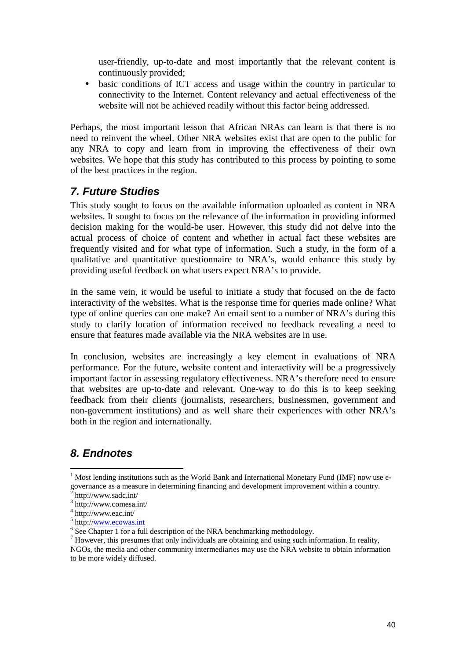user-friendly, up-to-date and most importantly that the relevant content is continuously provided;

• basic conditions of ICT access and usage within the country in particular to connectivity to the Internet. Content relevancy and actual effectiveness of the website will not be achieved readily without this factor being addressed.

Perhaps, the most important lesson that African NRAs can learn is that there is no need to reinvent the wheel. Other NRA websites exist that are open to the public for any NRA to copy and learn from in improving the effectiveness of their own websites. We hope that this study has contributed to this process by pointing to some of the best practices in the region.

# **7. Future Studies**

This study sought to focus on the available information uploaded as content in NRA websites. It sought to focus on the relevance of the information in providing informed decision making for the would-be user. However, this study did not delve into the actual process of choice of content and whether in actual fact these websites are frequently visited and for what type of information. Such a study, in the form of a qualitative and quantitative questionnaire to NRA's, would enhance this study by providing useful feedback on what users expect NRA's to provide.

In the same vein, it would be useful to initiate a study that focused on the de facto interactivity of the websites. What is the response time for queries made online? What type of online queries can one make? An email sent to a number of NRA's during this study to clarify location of information received no feedback revealing a need to ensure that features made available via the NRA websites are in use.

In conclusion, websites are increasingly a key element in evaluations of NRA performance. For the future, website content and interactivity will be a progressively important factor in assessing regulatory effectiveness. NRA's therefore need to ensure that websites are up-to-date and relevant. One-way to do this is to keep seeking feedback from their clients (journalists, researchers, businessmen, government and non-government institutions) and as well share their experiences with other NRA's both in the region and internationally.

# **8. Endnotes**

 $\overline{a}$ 

 $1$  Most lending institutions such as the World Bank and International Monetary Fund (IMF) now use egovernance as a measure in determining financing and development improvement within a country.

 $\overline{2}$ http://www.sadc.int/

<sup>3</sup> http://www.comesa.int/

<sup>4</sup> http://www.eac.int/

<sup>&</sup>lt;sup>5</sup> http://www.ecowas.int

<sup>&</sup>lt;sup>6</sup> See Chapter 1 for a full description of the NRA benchmarking methodology.

 $<sup>7</sup>$  However, this presumes that only individuals are obtaining and using such information. In reality,</sup>

NGOs, the media and other community intermediaries may use the NRA website to obtain information to be more widely diffused.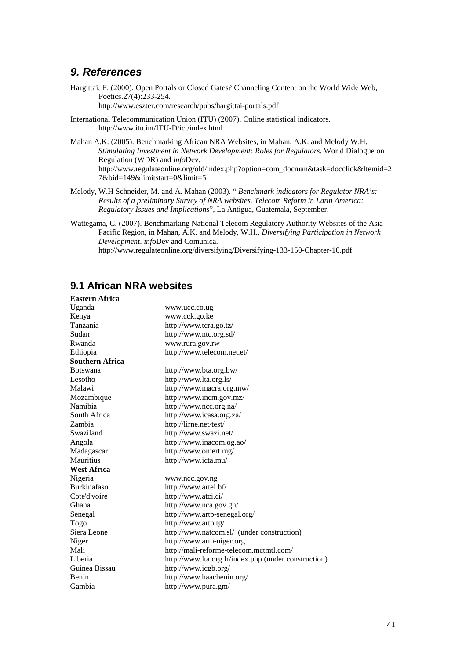### **9. References**

Hargittai, E. (2000). Open Portals or Closed Gates? Channeling Content on the World Wide Web, Poetics.27(4):233-254. http://www.eszter.com/research/pubs/hargittai-portals.pdf

International Telecommunication Union (ITU) (2007). Online statistical indicators. http://www.itu.int/ITU-D/ict/index.html

Mahan A.K. (2005). Benchmarking African NRA Websites, in Mahan, A.K. and Melody W.H. *Stimulating Investment in Network Development: Roles for Regulators*. World Dialogue on Regulation (WDR) and *info*Dev. http://www.regulateonline.org/old/index.php?option=com\_docman&task=docclick&Itemid=2 7&bid=149&limitstart=0&limit=5

- Melody, W.H Schneider, M. and A. Mahan (2003). " *Benchmark indicators for Regulator NRA's: Results of a preliminary Survey of NRA websites. Telecom Reform in Latin America: Regulatory Issues and Implications*", La Antigua, Guatemala, September.
- Wattegama, C. (2007). Benchmarking National Telecom Regulatory Authority Websites of the Asia-Pacific Region, in Mahan, A.K. and Melody, W.H., *Diversifying Participation in Network Development*. *info*Dev and Comunica. http://www.regulateonline.org/diversifying/Diversifying-133-150-Chapter-10.pdf

### **9.1 African NRA websites**

| <b>Eastern Africa</b>  |                                                      |
|------------------------|------------------------------------------------------|
| Uganda                 | www.ucc.co.ug                                        |
| Kenya                  | www.cck.go.ke                                        |
| Tanzania               | http://www.tcra.go.tz/                               |
| Sudan                  | http://www.ntc.org.sd/                               |
| Rwanda                 | www.rura.gov.rw                                      |
| Ethiopia               | http://www.telecom.net.et/                           |
| <b>Southern Africa</b> |                                                      |
| <b>Botswana</b>        | http://www.bta.org.bw/                               |
| Lesotho                | http://www.lta.org.ls/                               |
| Malawi                 | http://www.macra.org.mw/                             |
| Mozambique             | http://www.incm.gov.mz/                              |
| Namibia                | http://www.ncc.org.na/                               |
| South Africa           | http://www.icasa.org.za/                             |
| Zambia                 | http://lirne.net/test/                               |
| Swaziland              | http://www.swazi.net/                                |
| Angola                 | http://www.inacom.og.ao/                             |
| Madagascar             | http://www.omert.mg/                                 |
| <b>Mauritius</b>       | http://www.icta.mu/                                  |
| <b>West Africa</b>     |                                                      |
| Nigeria                | www.ncc.gov.ng                                       |
| <b>Burkinafaso</b>     | http://www.artel.bf/                                 |
| Cote'd'voire           | http://www.atci.ci/                                  |
| Ghana                  | http://www.nca.gov.gh/                               |
| Senegal                | http://www.artp-senegal.org/                         |
| Togo                   | http://www.artp.tg/                                  |
| Siera Leone            | http://www.natcom.sl/ (under construction)           |
| Niger                  | http://www.arm-niger.org                             |
| Mali                   | http://mali-reforme-telecom.mctmtl.com/              |
| Liberia                | http://www.lta.org.lr/index.php (under construction) |
| Guinea Bissau          | http://www.icgb.org/                                 |
| Benin                  | http://www.haacbenin.org/                            |
| Gambia                 | http://www.pura.gm/                                  |